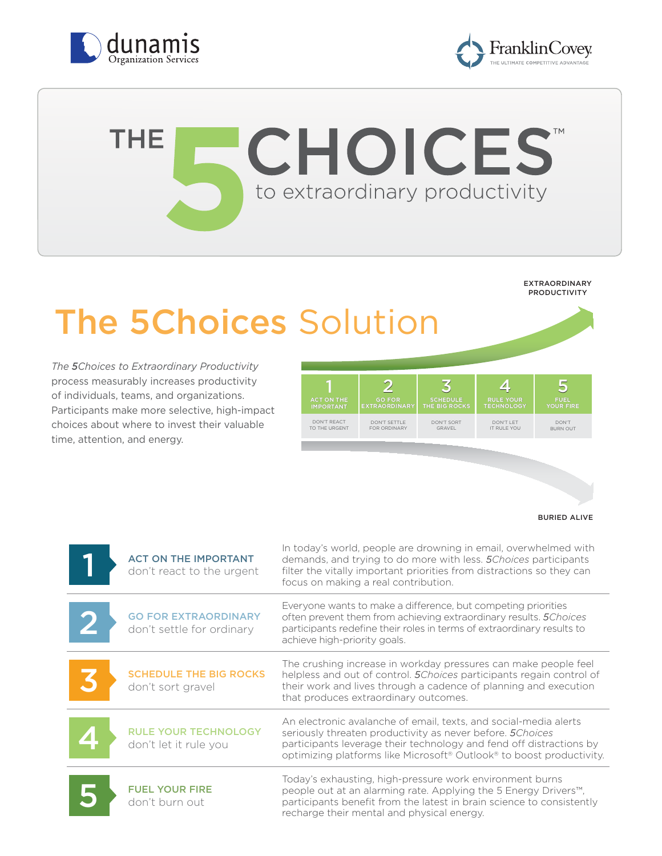



## **CHOICES THE** to extraordinary productivity **VIRTUAL**

#### EXTRAORDINARY PRODUCTIVITY

# The 5Choices Solution

*The 5Choices to Extraordinary Productivity*  process measurably increases productivity of individuals, teams, and organizations. Participants make more selective, high-impact choices about where to invest their valuable time, attention, and energy.

| <b>ACT ON THE</b> | <b>GO FOR</b>        | <b>SCHEDULE</b> | <b>RULE YOUR</b>  | <b>FUEL</b>      |
|-------------------|----------------------|-----------------|-------------------|------------------|
| <b>IMPORTANT</b>  | <b>EXTRAORDINARY</b> | THE BIG ROCKS   | <b>TECHNOLOGY</b> | <b>YOUR FIRE</b> |
| DON'T REACT       | DON'T SETTLE         | DON'T SORT      | DON'T I FT        | DON'T            |
| TO THE URGENT     | <b>FOR ORDINARY</b>  | GRAVEL          | IT RULE YOU       | <b>BURN OUT</b>  |

BURIED ALIVE

| <b>ACT ON THE IMPORTANT</b><br>don't react to the urgent | In today's world, people are drowning in email, overwhelmed with<br>demands, and trying to do more with less. 5 Choices participants<br>filter the vitally important priorities from distractions so they can<br>focus on making a real contribution.                                                 |
|----------------------------------------------------------|-------------------------------------------------------------------------------------------------------------------------------------------------------------------------------------------------------------------------------------------------------------------------------------------------------|
| <b>GO FOR EXTRAORDINARY</b><br>don't settle for ordinary | Everyone wants to make a difference, but competing priorities<br>often prevent them from achieving extraordinary results. 5Choices<br>participants redefine their roles in terms of extraordinary results to<br>achieve high-priority goals.                                                          |
| <b>SCHEDULE THE BIG ROCKS</b><br>don't sort gravel       | The crushing increase in workday pressures can make people feel<br>helpless and out of control. 5 Choices participants regain control of<br>their work and lives through a cadence of planning and execution<br>that produces extraordinary outcomes.                                                 |
| <b>RULE YOUR TECHNOLOGY</b><br>don't let it rule you     | An electronic avalanche of email, texts, and social-media alerts<br>seriously threaten productivity as never before. 5 Choices<br>participants leverage their technology and fend off distractions by<br>optimizing platforms like Microsoft <sup>®</sup> Outlook <sup>®</sup> to boost productivity. |
| <b>FUEL YOUR FIRE</b><br>don't burn out                  | Today's exhausting, high-pressure work environment burns<br>people out at an alarming rate. Applying the 5 Energy Drivers <sup>™</sup> ,<br>participants benefit from the latest in brain science to consistently<br>recharge their mental and physical energy.                                       |